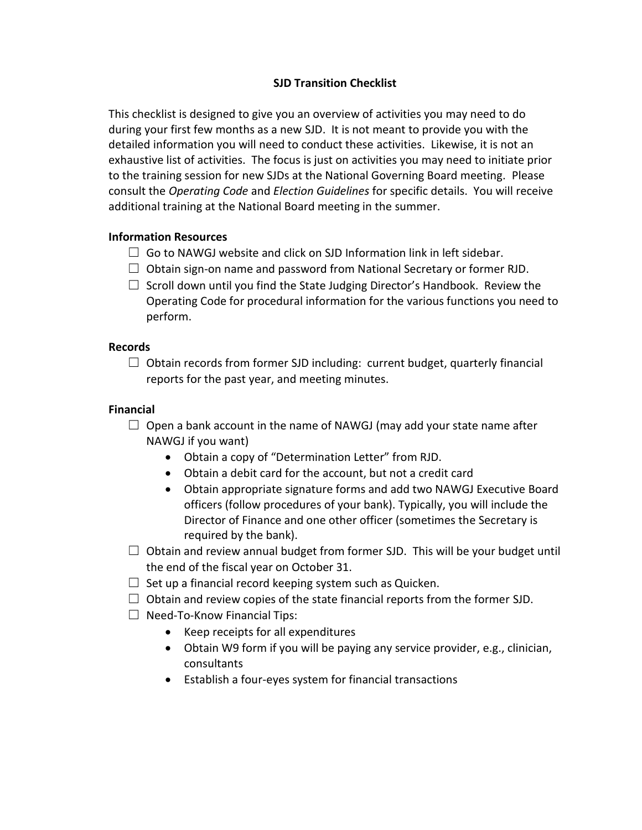# **SJD Transition Checklist**

This checklist is designed to give you an overview of activities you may need to do during your first few months as a new SJD. It is not meant to provide you with the detailed information you will need to conduct these activities. Likewise, it is not an exhaustive list of activities. The focus is just on activities you may need to initiate prior to the training session for new SJDs at the National Governing Board meeting. Please consult the *Operating Code* and *Election Guidelines* for specific details. You will receive additional training at the National Board meeting in the summer.

## **Information Resources**

- $\Box$  Go to NAWGJ website and click on SJD Information link in left sidebar.
- $\Box$  Obtain sign-on name and password from National Secretary or former RJD.
- $\Box$  Scroll down until you find the State Judging Director's Handbook. Review the Operating Code for procedural information for the various functions you need to perform.

### **Records**

 $\Box$  Obtain records from former SJD including: current budget, quarterly financial reports for the past year, and meeting minutes.

# **Financial**

- $\Box$  Open a bank account in the name of NAWGJ (may add your state name after NAWGJ if you want)
	- Obtain a copy of "Determination Letter" from RJD.
	- Obtain a debit card for the account, but not a credit card
	- Obtain appropriate signature forms and add two NAWGJ Executive Board officers (follow procedures of your bank). Typically, you will include the Director of Finance and one other officer (sometimes the Secretary is required by the bank).
- $\Box$  Obtain and review annual budget from former SJD. This will be your budget until the end of the fiscal year on October 31.
- $\Box$  Set up a financial record keeping system such as Quicken.
- $\Box$  Obtain and review copies of the state financial reports from the former SJD.
- $\Box$  Need-To-Know Financial Tips:
	- Keep receipts for all expenditures
	- Obtain W9 form if you will be paying any service provider, e.g., clinician, consultants
	- Establish a four-eyes system for financial transactions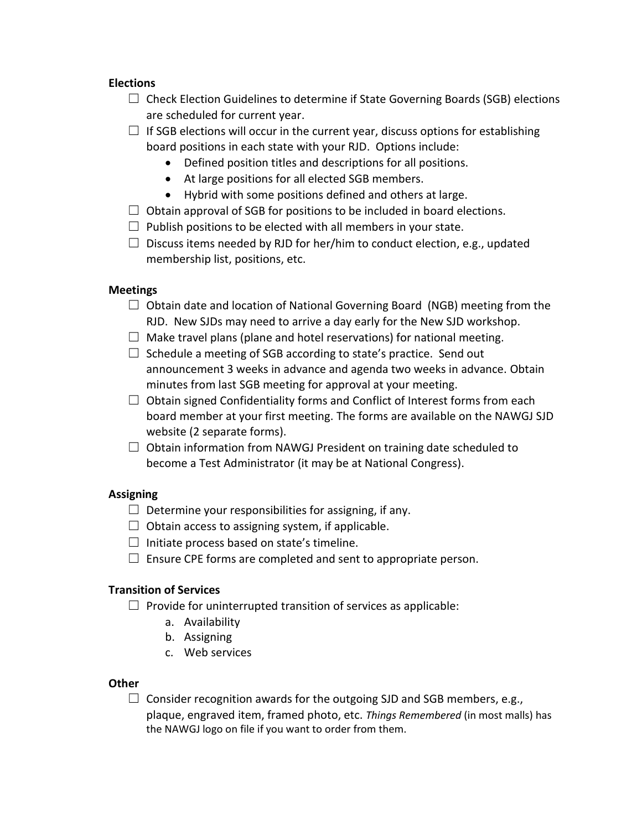### **Elections**

- $\Box$  Check Election Guidelines to determine if State Governing Boards (SGB) elections are scheduled for current year.
- $\Box$  If SGB elections will occur in the current year, discuss options for establishing board positions in each state with your RJD. Options include:
	- Defined position titles and descriptions for all positions.
	- At large positions for all elected SGB members.
	- Hybrid with some positions defined and others at large.
- $\Box$  Obtain approval of SGB for positions to be included in board elections.
- $\Box$  Publish positions to be elected with all members in your state.
- $\Box$  Discuss items needed by RJD for her/him to conduct election, e.g., updated membership list, positions, etc.

### **Meetings**

- $\Box$  Obtain date and location of National Governing Board (NGB) meeting from the RJD. New SJDs may need to arrive a day early for the New SJD workshop.
- $\Box$  Make travel plans (plane and hotel reservations) for national meeting.
- $\Box$  Schedule a meeting of SGB according to state's practice. Send out announcement 3 weeks in advance and agenda two weeks in advance. Obtain minutes from last SGB meeting for approval at your meeting.
- $\Box$  Obtain signed Confidentiality forms and Conflict of Interest forms from each board member at your first meeting. The forms are available on the NAWGJ SJD website (2 separate forms).
- $\Box$  Obtain information from NAWGJ President on training date scheduled to become a Test Administrator (it may be at National Congress).

## **Assigning**

- $\Box$  Determine your responsibilities for assigning, if any.
- $\Box$  Obtain access to assigning system, if applicable.
- $\Box$  Initiate process based on state's timeline.
- $\Box$  Ensure CPE forms are completed and sent to appropriate person.

### **Transition of Services**

- $\Box$  Provide for uninterrupted transition of services as applicable:
	- a. Availability
	- b. Assigning
	- c. Web services

#### **Other**

 $\Box$  Consider recognition awards for the outgoing SJD and SGB members, e.g., plaque, engraved item, framed photo, etc. *Things Remembered* (in most malls) has the NAWGJ logo on file if you want to order from them.